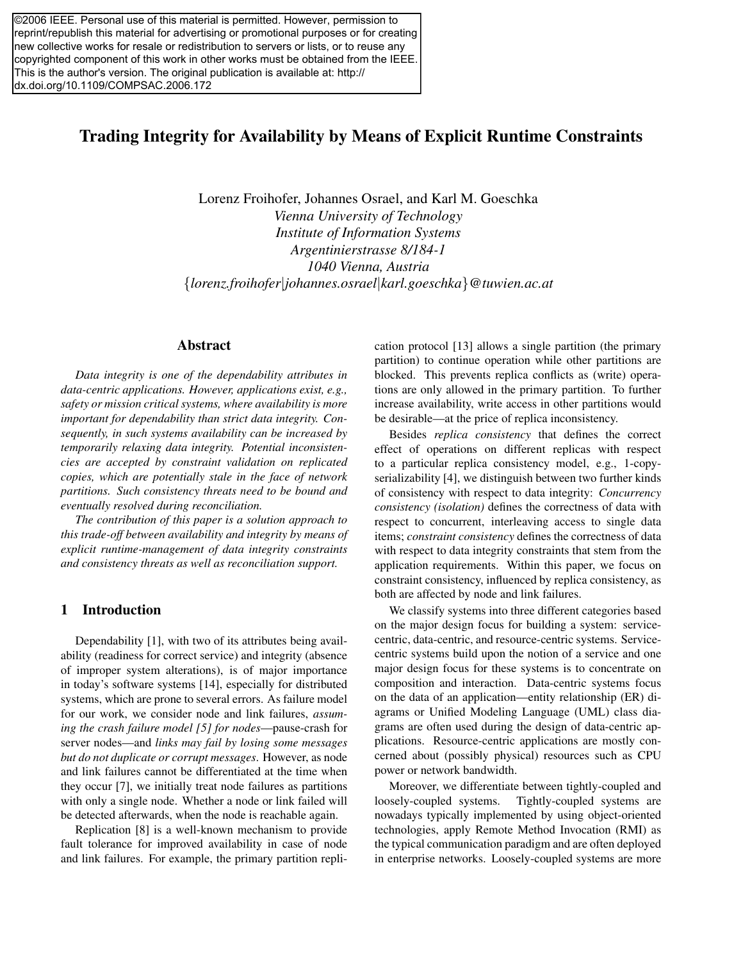©2006 IEEE. Personal use of this material is permitted. However, permission to reprint/republish this material for advertising or promotional purposes or for creating new collective works for resale or redistribution to servers or lists, or to reuse any copyrighted component of this work in other works must be obtained from the IEEE. This is the author's version. The original publication is available at: http:// dx.doi.org/10.1109/COMPSAC.2006.172

# Trading Integrity for Availability by Means of Explicit Runtime Constraints

Lorenz Froihofer, Johannes Osrael, and Karl M. Goeschka *Vienna University of Technology Institute of Information Systems Argentinierstrasse 8/184-1 1040 Vienna, Austria* {*lorenz.froihofer*|*johannes.osrael*|*karl.goeschka*}*@tuwien.ac.at*

#### Abstract

*Data integrity is one of the dependability attributes in data-centric applications. However, applications exist, e.g., safety or mission critical systems, where availability is more important for dependability than strict data integrity. Consequently, in such systems availability can be increased by temporarily relaxing data integrity. Potential inconsistencies are accepted by constraint validation on replicated copies, which are potentially stale in the face of network partitions. Such consistency threats need to be bound and eventually resolved during reconciliation.*

*The contribution of this paper is a solution approach to this trade-off between availability and integrity by means of explicit runtime-management of data integrity constraints and consistency threats as well as reconciliation support.*

#### 1 Introduction

Dependability [1], with two of its attributes being availability (readiness for correct service) and integrity (absence of improper system alterations), is of major importance in today's software systems [14], especially for distributed systems, which are prone to several errors. As failure model for our work, we consider node and link failures, *assuming the crash failure model [5] for nodes*—pause-crash for server nodes—and *links may fail by losing some messages but do not duplicate or corrupt messages*. However, as node and link failures cannot be differentiated at the time when they occur [7], we initially treat node failures as partitions with only a single node. Whether a node or link failed will be detected afterwards, when the node is reachable again.

Replication [8] is a well-known mechanism to provide fault tolerance for improved availability in case of node and link failures. For example, the primary partition replication protocol [13] allows a single partition (the primary partition) to continue operation while other partitions are blocked. This prevents replica conflicts as (write) operations are only allowed in the primary partition. To further increase availability, write access in other partitions would be desirable—at the price of replica inconsistency.

Besides *replica consistency* that defines the correct effect of operations on different replicas with respect to a particular replica consistency model, e.g., 1-copyserializability [4], we distinguish between two further kinds of consistency with respect to data integrity: *Concurrency consistency (isolation)* defines the correctness of data with respect to concurrent, interleaving access to single data items; *constraint consistency* defines the correctness of data with respect to data integrity constraints that stem from the application requirements. Within this paper, we focus on constraint consistency, influenced by replica consistency, as both are affected by node and link failures.

We classify systems into three different categories based on the major design focus for building a system: servicecentric, data-centric, and resource-centric systems. Servicecentric systems build upon the notion of a service and one major design focus for these systems is to concentrate on composition and interaction. Data-centric systems focus on the data of an application—entity relationship (ER) diagrams or Unified Modeling Language (UML) class diagrams are often used during the design of data-centric applications. Resource-centric applications are mostly concerned about (possibly physical) resources such as CPU power or network bandwidth.

Moreover, we differentiate between tightly-coupled and loosely-coupled systems. Tightly-coupled systems are nowadays typically implemented by using object-oriented technologies, apply Remote Method Invocation (RMI) as the typical communication paradigm and are often deployed in enterprise networks. Loosely-coupled systems are more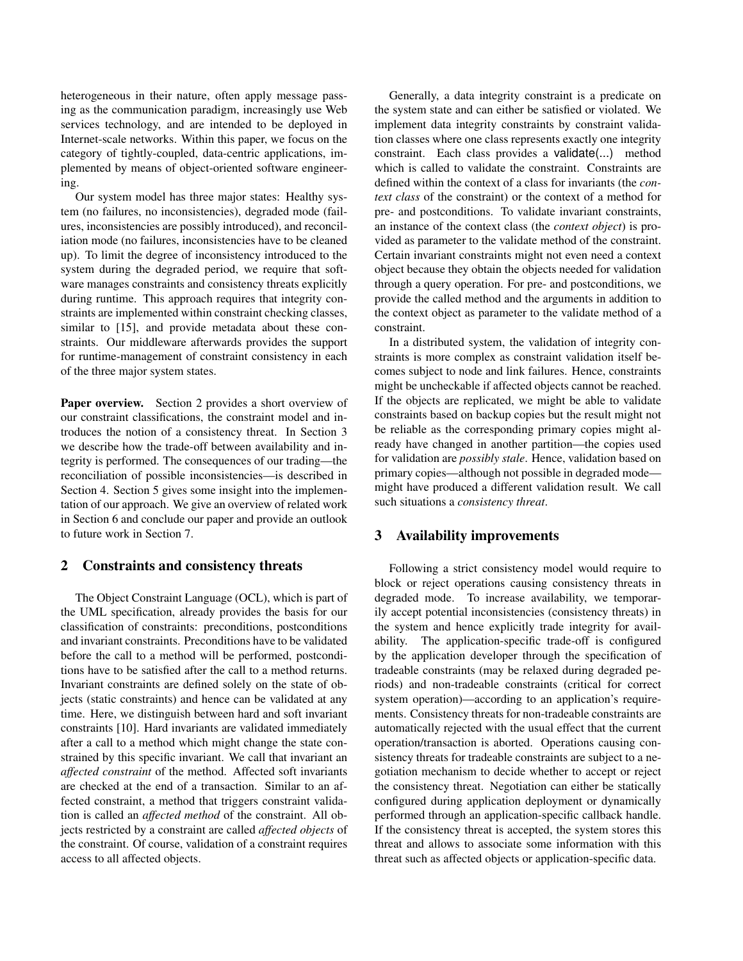heterogeneous in their nature, often apply message passing as the communication paradigm, increasingly use Web services technology, and are intended to be deployed in Internet-scale networks. Within this paper, we focus on the category of tightly-coupled, data-centric applications, implemented by means of object-oriented software engineering.

Our system model has three major states: Healthy system (no failures, no inconsistencies), degraded mode (failures, inconsistencies are possibly introduced), and reconciliation mode (no failures, inconsistencies have to be cleaned up). To limit the degree of inconsistency introduced to the system during the degraded period, we require that software manages constraints and consistency threats explicitly during runtime. This approach requires that integrity constraints are implemented within constraint checking classes, similar to [15], and provide metadata about these constraints. Our middleware afterwards provides the support for runtime-management of constraint consistency in each of the three major system states.

Paper overview. Section 2 provides a short overview of our constraint classifications, the constraint model and introduces the notion of a consistency threat. In Section 3 we describe how the trade-off between availability and integrity is performed. The consequences of our trading—the reconciliation of possible inconsistencies—is described in Section 4. Section 5 gives some insight into the implementation of our approach. We give an overview of related work in Section 6 and conclude our paper and provide an outlook to future work in Section 7.

## 2 Constraints and consistency threats

The Object Constraint Language (OCL), which is part of the UML specification, already provides the basis for our classification of constraints: preconditions, postconditions and invariant constraints. Preconditions have to be validated before the call to a method will be performed, postconditions have to be satisfied after the call to a method returns. Invariant constraints are defined solely on the state of objects (static constraints) and hence can be validated at any time. Here, we distinguish between hard and soft invariant constraints [10]. Hard invariants are validated immediately after a call to a method which might change the state constrained by this specific invariant. We call that invariant an *affected constraint* of the method. Affected soft invariants are checked at the end of a transaction. Similar to an affected constraint, a method that triggers constraint validation is called an *affected method* of the constraint. All objects restricted by a constraint are called *affected objects* of the constraint. Of course, validation of a constraint requires access to all affected objects.

Generally, a data integrity constraint is a predicate on the system state and can either be satisfied or violated. We implement data integrity constraints by constraint validation classes where one class represents exactly one integrity constraint. Each class provides a validate(...) method which is called to validate the constraint. Constraints are defined within the context of a class for invariants (the *context class* of the constraint) or the context of a method for pre- and postconditions. To validate invariant constraints, an instance of the context class (the *context object*) is provided as parameter to the validate method of the constraint. Certain invariant constraints might not even need a context object because they obtain the objects needed for validation through a query operation. For pre- and postconditions, we provide the called method and the arguments in addition to the context object as parameter to the validate method of a constraint.

In a distributed system, the validation of integrity constraints is more complex as constraint validation itself becomes subject to node and link failures. Hence, constraints might be uncheckable if affected objects cannot be reached. If the objects are replicated, we might be able to validate constraints based on backup copies but the result might not be reliable as the corresponding primary copies might already have changed in another partition—the copies used for validation are *possibly stale*. Hence, validation based on primary copies—although not possible in degraded mode might have produced a different validation result. We call such situations a *consistency threat*.

#### 3 Availability improvements

Following a strict consistency model would require to block or reject operations causing consistency threats in degraded mode. To increase availability, we temporarily accept potential inconsistencies (consistency threats) in the system and hence explicitly trade integrity for availability. The application-specific trade-off is configured by the application developer through the specification of tradeable constraints (may be relaxed during degraded periods) and non-tradeable constraints (critical for correct system operation)—according to an application's requirements. Consistency threats for non-tradeable constraints are automatically rejected with the usual effect that the current operation/transaction is aborted. Operations causing consistency threats for tradeable constraints are subject to a negotiation mechanism to decide whether to accept or reject the consistency threat. Negotiation can either be statically configured during application deployment or dynamically performed through an application-specific callback handle. If the consistency threat is accepted, the system stores this threat and allows to associate some information with this threat such as affected objects or application-specific data.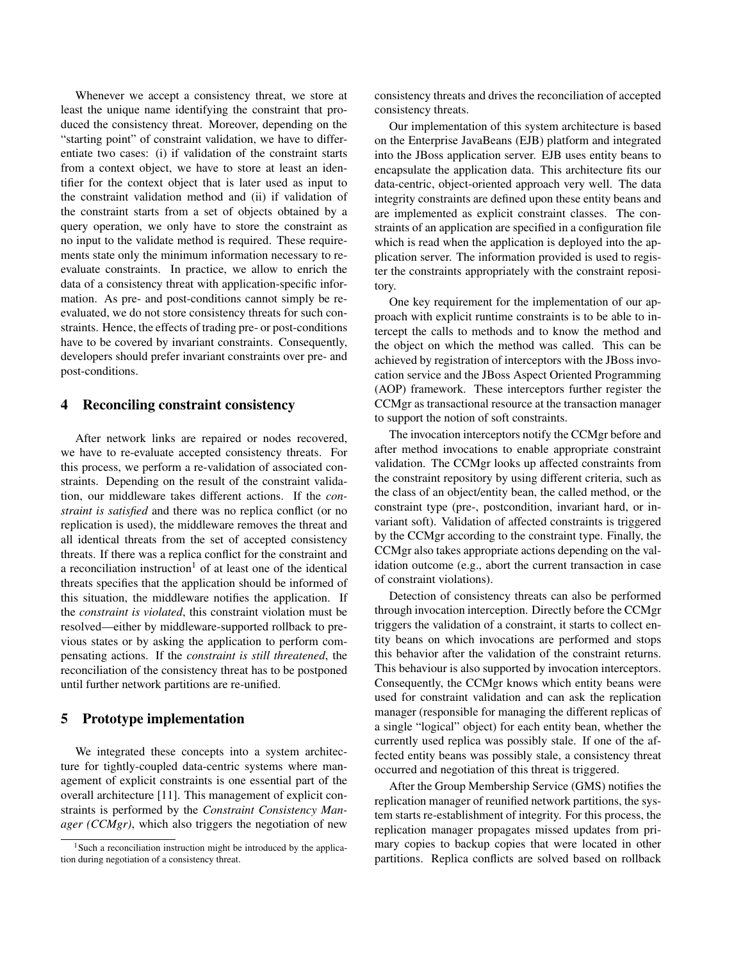Whenever we accept a consistency threat, we store at least the unique name identifying the constraint that produced the consistency threat. Moreover, depending on the "starting point" of constraint validation, we have to differentiate two cases: (i) if validation of the constraint starts from a context object, we have to store at least an identifier for the context object that is later used as input to the constraint validation method and (ii) if validation of the constraint starts from a set of objects obtained by a query operation, we only have to store the constraint as no input to the validate method is required. These requirements state only the minimum information necessary to reevaluate constraints. In practice, we allow to enrich the data of a consistency threat with application-specific information. As pre- and post-conditions cannot simply be reevaluated, we do not store consistency threats for such constraints. Hence, the effects of trading pre- or post-conditions have to be covered by invariant constraints. Consequently, developers should prefer invariant constraints over pre- and post-conditions.

#### 4 Reconciling constraint consistency

After network links are repaired or nodes recovered, we have to re-evaluate accepted consistency threats. For this process, we perform a re-validation of associated constraints. Depending on the result of the constraint validation, our middleware takes different actions. If the *constraint is satisfied* and there was no replica conflict (or no replication is used), the middleware removes the threat and all identical threats from the set of accepted consistency threats. If there was a replica conflict for the constraint and a reconciliation instruction<sup>1</sup> of at least one of the identical threats specifies that the application should be informed of this situation, the middleware notifies the application. If the *constraint is violated*, this constraint violation must be resolved—either by middleware-supported rollback to previous states or by asking the application to perform compensating actions. If the *constraint is still threatened*, the reconciliation of the consistency threat has to be postponed until further network partitions are re-unified.

## 5 Prototype implementation

We integrated these concepts into a system architecture for tightly-coupled data-centric systems where management of explicit constraints is one essential part of the overall architecture [11]. This management of explicit constraints is performed by the *Constraint Consistency Manager (CCMgr)*, which also triggers the negotiation of new

consistency threats and drives the reconciliation of accepted consistency threats.

Our implementation of this system architecture is based on the Enterprise JavaBeans (EJB) platform and integrated into the JBoss application server. EJB uses entity beans to encapsulate the application data. This architecture fits our data-centric, object-oriented approach very well. The data integrity constraints are defined upon these entity beans and are implemented as explicit constraint classes. The constraints of an application are specified in a configuration file which is read when the application is deployed into the application server. The information provided is used to register the constraints appropriately with the constraint repository.

One key requirement for the implementation of our approach with explicit runtime constraints is to be able to intercept the calls to methods and to know the method and the object on which the method was called. This can be achieved by registration of interceptors with the JBoss invocation service and the JBoss Aspect Oriented Programming (AOP) framework. These interceptors further register the CCMgr as transactional resource at the transaction manager to support the notion of soft constraints.

The invocation interceptors notify the CCMgr before and after method invocations to enable appropriate constraint validation. The CCMgr looks up affected constraints from the constraint repository by using different criteria, such as the class of an object/entity bean, the called method, or the constraint type (pre-, postcondition, invariant hard, or invariant soft). Validation of affected constraints is triggered by the CCMgr according to the constraint type. Finally, the CCMgr also takes appropriate actions depending on the validation outcome (e.g., abort the current transaction in case of constraint violations).

Detection of consistency threats can also be performed through invocation interception. Directly before the CCMgr triggers the validation of a constraint, it starts to collect entity beans on which invocations are performed and stops this behavior after the validation of the constraint returns. This behaviour is also supported by invocation interceptors. Consequently, the CCMgr knows which entity beans were used for constraint validation and can ask the replication manager (responsible for managing the different replicas of a single "logical" object) for each entity bean, whether the currently used replica was possibly stale. If one of the affected entity beans was possibly stale, a consistency threat occurred and negotiation of this threat is triggered.

After the Group Membership Service (GMS) notifies the replication manager of reunified network partitions, the system starts re-establishment of integrity. For this process, the replication manager propagates missed updates from primary copies to backup copies that were located in other partitions. Replica conflicts are solved based on rollback

<sup>&</sup>lt;sup>1</sup>Such a reconciliation instruction might be introduced by the application during negotiation of a consistency threat.